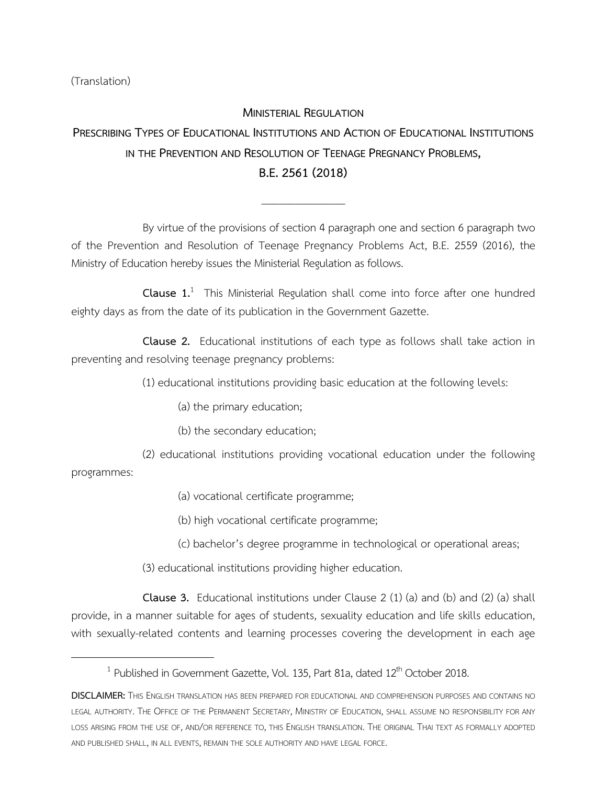(Translation)

## **MINISTERIAL REGULATION**

## **PRESCRIBING TYPES OF EDUCATIONAL INSTITUTIONS AND ACTION OF EDUCATIONAL INSTITUTIONS IN THE PREVENTION AND RESOLUTION OF TEENAGE PREGNANCY PROBLEMS, B.E.2561(2018)**

\_\_\_\_\_\_\_\_\_\_\_\_\_\_\_

By virtue of the provisions of section 4 paragraph one and section 6 paragraph two of the Prevention and Resolution of Teenage Pregnancy Problems Act, B.E. 2559 (2016), the Ministry of Education hereby issues the Ministerial Regulation as follows.

**Clause 1.**<sup>1</sup> This Ministerial Regulation shall come into force after one hundred eighty days as from the date of its publication in the Government Gazette.

**Clause 2.** Educational institutions of each type as follows shall take action in preventing and resolving teenage pregnancy problems:

(1) educational institutions providing basic education at the following levels:

(a) the primary education;

(b) the secondary education;

(2) educational institutions providing vocational education under the following

programmes:

 $\overline{\phantom{a}}$ 

(a) vocational certificate programme;

(b) high vocational certificate programme;

(c) bachelor's degree programme in technological or operational areas;

(3) educational institutions providing higher education.

**Clause 3.** Educational institutions under Clause 2 (1) (a) and (b) and (2) (a) shall provide, in a manner suitable for ages of students, sexuality education and life skills education, with sexually-related contents and learning processes covering the development in each age

 $^1$  Published in Government Gazette, Vol. 135, Part 81a, dated 12<sup>th</sup> October 2018.

**DISCLAIMER:** THIS ENGLISH TRANSLATION HAS BEEN PREPARED FOR EDUCATIONAL AND COMPREHENSION PURPOSES AND CONTAINS NO LEGAL AUTHORITY. THE OFFICE OF THE PERMANENT SECRETARY, MINISTRY OF EDUCATION, SHALL ASSUME NO RESPONSIBILITY FOR ANY LOSS ARISING FROM THE USE OF, AND/OR REFERENCE TO, THIS ENGLISH TRANSLATION. THE ORIGINAL THAI TEXT AS FORMALLY ADOPTED AND PUBLISHED SHALL, IN ALL EVENTS, REMAIN THE SOLE AUTHORITY AND HAVE LEGAL FORCE.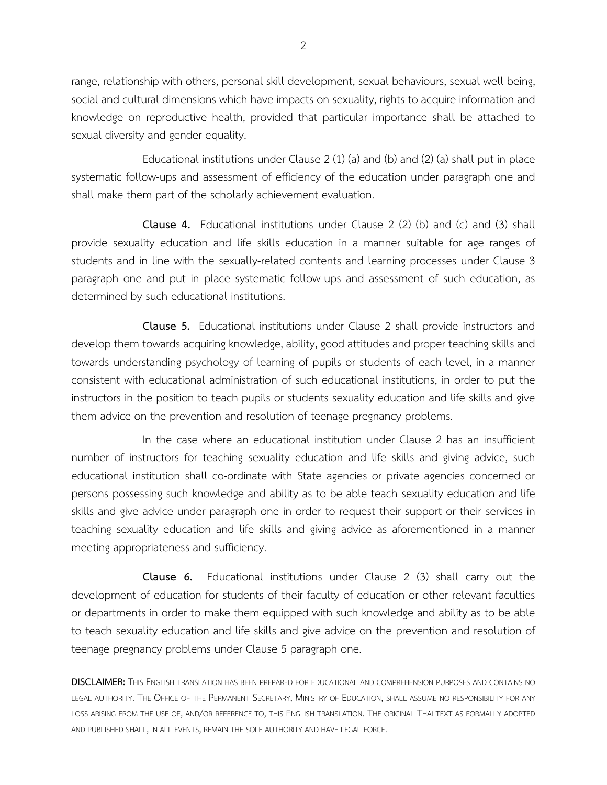range, relationship with others, personal skill development, sexual behaviours, sexual well-being, social and cultural dimensions which have impacts on sexuality, rights to acquire information and knowledge on reproductive health, provided that particular importance shall be attached to sexual diversity and gender equality.

Educational institutions under Clause  $2(1)(a)$  and  $(b)$  and  $(2)(a)$  shall put in place systematic follow-ups and assessment of efficiency of the education under paragraph one and shall make them part of the scholarly achievement evaluation.

**Clause 4.** Educational institutions under Clause 2 (2) (b) and (c) and (3) shall provide sexuality education and life skills education in a manner suitable for age ranges of students and in line with the sexually-related contents and learning processes under Clause 3 paragraph one and put in place systematic follow-ups and assessment of such education, as determined by such educational institutions.

**Clause 5.** Educational institutions under Clause 2 shall provide instructors and develop them towards acquiring knowledge, ability, good attitudes and proper teaching skills and towards understanding psychology of learning of pupils or students of each level, in a manner consistent with educational administration of such educational institutions, in order to put the instructors in the position to teach pupils or students sexuality education and life skills and give them advice on the prevention and resolution of teenage pregnancy problems.

In the case where an educational institution under Clause 2 has an insufficient number of instructors for teaching sexuality education and life skills and giving advice, such educational institution shall co-ordinate with State agencies or private agencies concerned or persons possessing such knowledge and ability as to be able teach sexuality education and life skills and give advice under paragraph one in order to request their support or their services in teaching sexuality education and life skills and giving advice as aforementioned in a manner meeting appropriateness and sufficiency.

**Clause 6.** Educational institutions under Clause 2 (3) shall carry out the development of education for students of their faculty of education or other relevant faculties or departments in order to make them equipped with such knowledge and ability as to be able to teach sexuality education and life skills and give advice on the prevention and resolution of teenage pregnancy problems under Clause 5 paragraph one.

**DISCLAIMER:** THIS ENGLISH TRANSLATION HAS BEEN PREPARED FOR EDUCATIONAL AND COMPREHENSION PURPOSES AND CONTAINS NO LEGAL AUTHORITY. THE OFFICE OF THE PERMANENT SECRETARY, MINISTRY OF EDUCATION, SHALL ASSUME NO RESPONSIBILITY FOR ANY LOSS ARISING FROM THE USE OF, AND/OR REFERENCE TO, THIS ENGLISH TRANSLATION. THE ORIGINAL THAI TEXT AS FORMALLY ADOPTED AND PUBLISHED SHALL, IN ALL EVENTS, REMAIN THE SOLE AUTHORITY AND HAVE LEGAL FORCE.